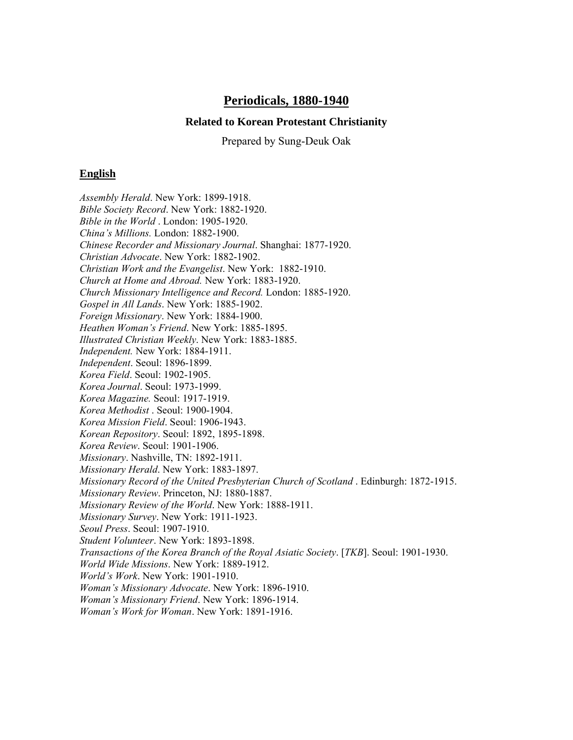# **Periodicals, 1880-1940**

### **Related to Korean Protestant Christianity**

Prepared by Sung-Deuk Oak

## **English**

*Assembly Herald*. New York: 1899-1918. *Bible Society Record*. New York: 1882-1920. *Bible in the World* . London: 1905-1920. *China's Millions.* London: 1882-1900. *Chinese Recorder and Missionary Journal*. Shanghai: 1877-1920. *Christian Advocate*. New York: 1882-1902. *Christian Work and the Evangelist*. New York: 1882-1910. *Church at Home and Abroad.* New York: 1883-1920. *Church Missionary Intelligence and Record.* London: 1885-1920. *Gospel in All Lands*. New York: 1885-1902. *Foreign Missionary*. New York: 1884-1900. *Heathen Woman's Friend*. New York: 1885-1895. *Illustrated Christian Weekly*. New York: 1883-1885. *Independent.* New York: 1884-1911. *Independent*. Seoul: 1896-1899. *Korea Field*. Seoul: 1902-1905. *Korea Journal*. Seoul: 1973-1999. *Korea Magazine.* Seoul: 1917-1919. *Korea Methodist* . Seoul: 1900-1904. *Korea Mission Field*. Seoul: 1906-1943. *Korean Repository*. Seoul: 1892, 1895-1898. *Korea Review*. Seoul: 1901-1906. *Missionary*. Nashville, TN: 1892-1911. *Missionary Herald*. New York: 1883-1897. *Missionary Record of the United Presbyterian Church of Scotland* . Edinburgh: 1872-1915. *Missionary Review*. Princeton, NJ: 1880-1887. *Missionary Review of the World*. New York: 1888-1911. *Missionary Survey*. New York: 1911-1923. *Seoul Press*. Seoul: 1907-1910. *Student Volunteer*. New York: 1893-1898. *Transactions of the Korea Branch of the Royal Asiatic Society*. [*TKB*]. Seoul: 1901-1930. *World Wide Missions*. New York: 1889-1912. *World's Work*. New York: 1901-1910. *Woman's Missionary Advocate*. New York: 1896-1910. *Woman's Missionary Friend*. New York: 1896-1914. *Woman's Work for Woman*. New York: 1891-1916.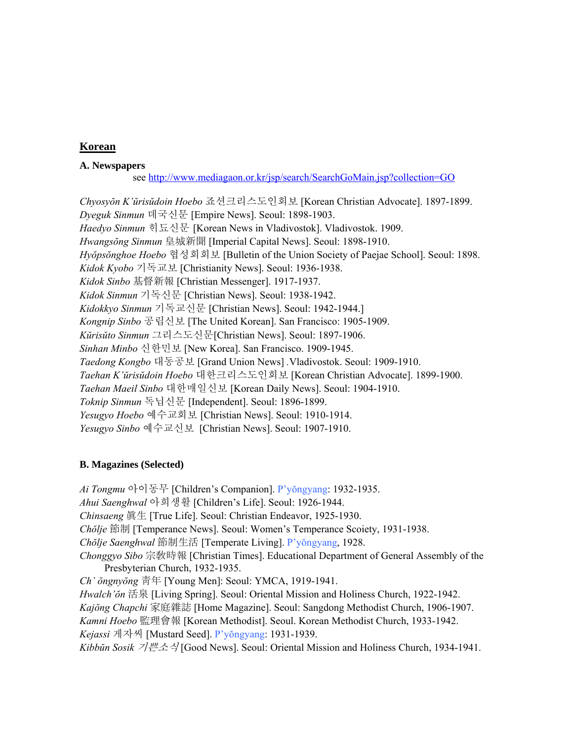# **Korean**

### **A. Newspapers**

see <http://www.mediagaon.or.kr/jsp/search/SearchGoMain.jsp?collection=GO>

*Chyosyŏn K'ŭrisŭdoin Hoebo* 죠션크리스도인회보 [Korean Christian Advocate]. 1897-1899. *Dyeguk Sinmun* 뎨국신문 [Empire News]. Seoul: 1898-1903. Haedyo Sinmun 히됴신문 [Korean News in Vladivostok]. Vladivostok. 1909. *Hwangsŏng Sinmun* 皇城新聞 [Imperial Capital News]. Seoul: 1898-1910. *Hyŏpsŏnghoe Hoebo* 협성회회보 [Bulletin of the Union Society of Paejae School]. Seoul: 1898. *Kidok Kyobo* 기독교보 [Christianity News]. Seoul: 1936-1938. *Kidok Sinbo* 基督新報 [Christian Messenger]. 1917-1937. *Kidok Sinmun* 기독신문 [Christian News]. Seoul: 1938-1942. *Kidokkyo Sinmun* 기독교신문 [Christian News]. Seoul: 1942-1944.] *Kongnip Sinbo* 공립신보 [The United Korean]. San Francisco: 1905-1909. *Kŭrisŭto Sinmun* 그리스도신문[Christian News]. Seoul: 1897-1906. *Sinhan Minbo* 신한민보 [New Korea]. San Francisco. 1909-1945. *Taedong Kongbo* 대동공보 [Grand Union News] *.*Vladivostok. Seoul: 1909-1910. *Taehan K'ŭrisŭdoin Hoebo* 대한크리스도인회보 [Korean Christian Advocate]. 1899-1900. *Taehan Maeil Sinbo* 대한매일신보 [Korean Daily News]. Seoul: 1904-1910. *Toknip Sinmun* 독닙신문 [Independent]. Seoul: 1896-1899. *Yesugyo Hoebo* 예수교회보 [Christian News]. Seoul: 1910-1914. *Yesugyo Sinbo* 예수교신보 [Christian News]. Seoul: 1907-1910.

### **B. Magazines (Selected)**

*Ai Tongmu* 아이동무 [Children's Companion]. P'yŏngyang: 1932-1935. *Ahui Saenghwal* 아희생활 [Children's Life]. Seoul: 1926-1944. *Chinsaeng* 眞生 [True Life]. Seoul: Christian Endeavor, 1925-1930. *Chŏlje* 節制 [Temperance News]. Seoul: Women's Temperance Scoiety, 1931-1938. *Chŏlje Saenghwal* 節制生活 [Temperate Living]. P'yŏngyang, 1928. *Chonggyo Sibo* 宗敎時報 [Christian Times]. Educational Department of General Assembly of the Presbyterian Church, 1932-1935. *Ch' ŏngnyŏng* 靑年 [Young Men]: Seoul: YMCA, 1919-1941. *Hwalch'ŏn* 活泉 [Living Spring]. Seoul: Oriental Mission and Holiness Church, 1922-1942. *Kajŏng Chapchi* 家庭雜誌 [Home Magazine]. Seoul: Sangdong Methodist Church, 1906-1907. *Kamni Hoebo* 監理會報 [Korean Methodist]. Seoul. Korean Methodist Church, 1933-1942. *Kejassi* 게자씨 [Mustard Seed]. P'yŏngyang: 1931-1939. *Kibbŭn Sosik* 기쁜소식 [Good News]. Seoul: Oriental Mission and Holiness Church, 1934-1941.